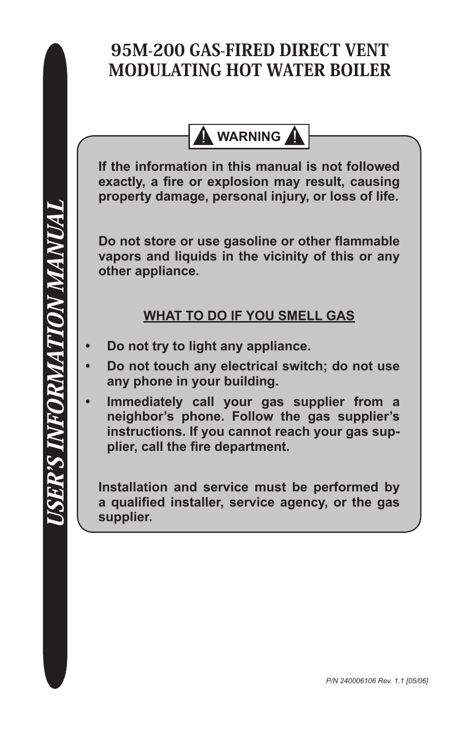## 95M-200 GAS-FIRED DIRECT VENT MODULATING HOT WATER BOILER

**N** WARNING

**If the information in this manual is not followed exactly, a fire or explosion may result, causing property damage, personal injury, or loss of life.**

**Do not store or use gasoline or other flammable vapors and liquids in the vicinity of this or any other appliance.**

## **WHAT TO DO IF YOU SMELL GAS**

- **Do not try to light any appliance. •**
- **Do not touch any electrical switch; do not use any phone in your building. •**
- **Immediately call your gas supplier from a neighbor's phone. Follow the gas supplier's instructions. If you cannot reach your gas supplier, call the fire department. •**

**Installation and service must be performed by a qualified installer, service agency, or the gas supplier.**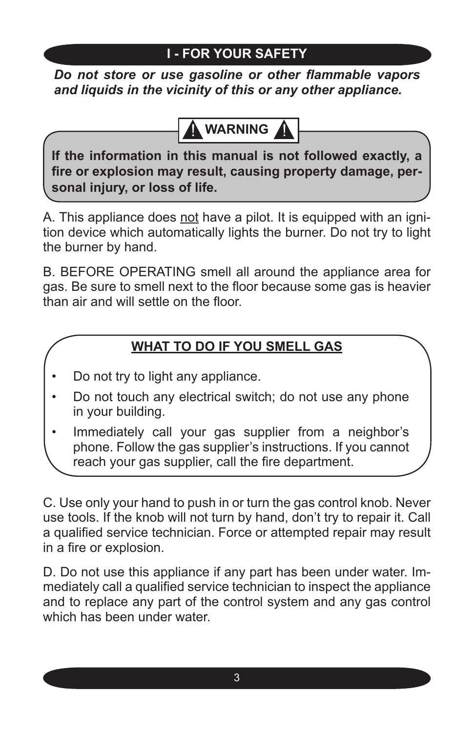## **I - FOR YOUR SAFETY**

*Do not store or use gasoline or other flammable vapors and liquids in the vicinity of this or any other appliance.*

# **WARNING**

**If the information in this manual is not followed exactly, a fire or explosion may result, causing property damage, personal injury, or loss of life.**

A. This appliance does not have a pilot. It is equipped with an ignition device which automatically lights the burner. Do not try to light the burner by hand.

B. BEFORE OPERATING smell all around the appliance area for gas. Be sure to smell next to the floor because some gas is heavier than air and will settle on the floor.

## **WHAT TO DO IF YOU SMELL GAS**

- Do not try to light any appliance. •
- Do not touch any electrical switch; do not use any phone in your building. •
- Immediately call your gas supplier from a neighbor's phone. Follow the gas supplier's instructions. If you cannot reach your gas supplier, call the fire department. •

C. Use only your hand to push in or turn the gas control knob. Never use tools. If the knob will not turn by hand, don't try to repair it. Call a qualified service technician. Force or attempted repair may result in a fire or explosion.

D. Do not use this appliance if any part has been under water. Immediately call a qualified service technician to inspect the appliance and to replace any part of the control system and any gas control which has been under water.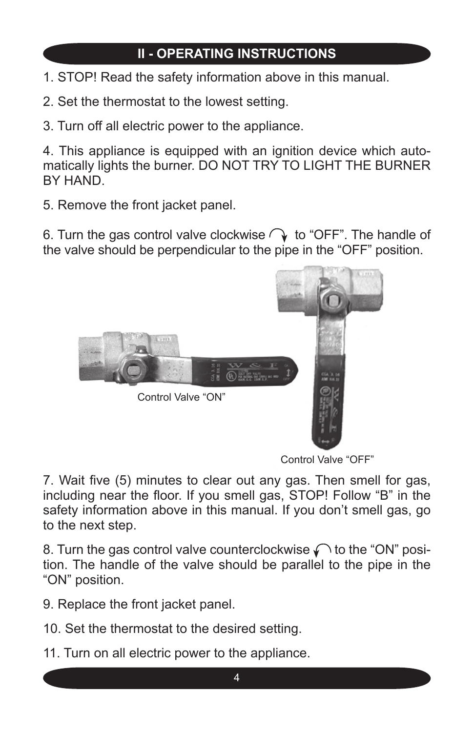## **II - OPERATING INSTRUCTIONS**

- 1. STOP! Read the safety information above in this manual.
- 2. Set the thermostat to the lowest setting.
- 3. Turn off all electric power to the appliance.

4. This appliance is equipped with an ignition device which automatically lights the burner. DO NOT TRY TO LIGHT THE BURNER BY HAND.

5. Remove the front jacket panel.

6. Turn the gas control valve clockwise  $\bigcirc$  to "OFF". The handle of the valve should be perpendicular to the pipe in the "OFF" position.



Control Valve "OFF"

7. Wait five (5) minutes to clear out any gas. Then smell for gas, including near the floor. If you smell gas, STOP! Follow "B" in the safety information above in this manual. If you don't smell gas, go to the next step.

8. Turn the gas control valve counterclockwise  $\curvearrowleft$  to the "ON" position. The handle of the valve should be parallel to the pipe in the "ON" position.

9. Replace the front jacket panel.

10. Set the thermostat to the desired setting.

11. Turn on all electric power to the appliance.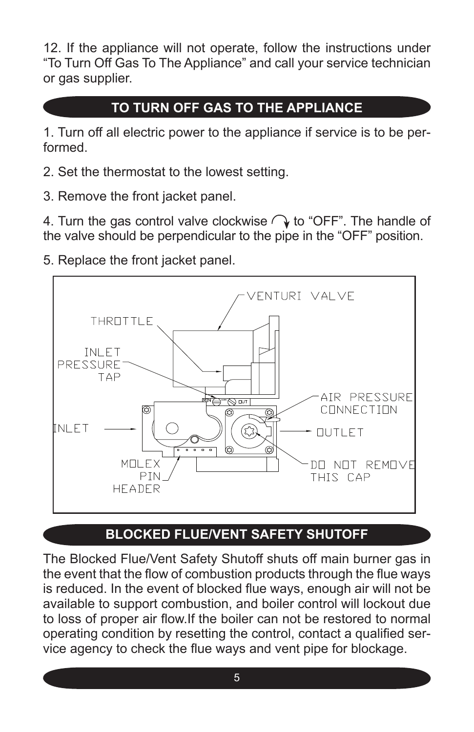12. If the appliance will not operate, follow the instructions under "To Turn Off Gas To The Appliance" and call your service technician or gas supplier.

## **TO TURN OFF GAS TO THE APPLIANCE**

1. Turn off all electric power to the appliance if service is to be performed.

- 2. Set the thermostat to the lowest setting.
- 3. Remove the front jacket panel.

4. Turn the gas control valve clockwise  $\bigcirc$  to "OFF". The handle of the valve should be perpendicular to the pipe in the "OFF" position.

5. Replace the front jacket panel.



## **BLOCKED FLUE/VENT SAFETY SHUTOFF**

The Blocked Flue/Vent Safety Shutoff shuts off main burner gas in the event that the flow of combustion products through the flue ways is reduced. In the event of blocked flue ways, enough air will not be available to support combustion, and boiler control will lockout due to loss of proper air flow.If the boiler can not be restored to normal operating condition by resetting the control, contact a qualified service agency to check the flue ways and vent pipe for blockage.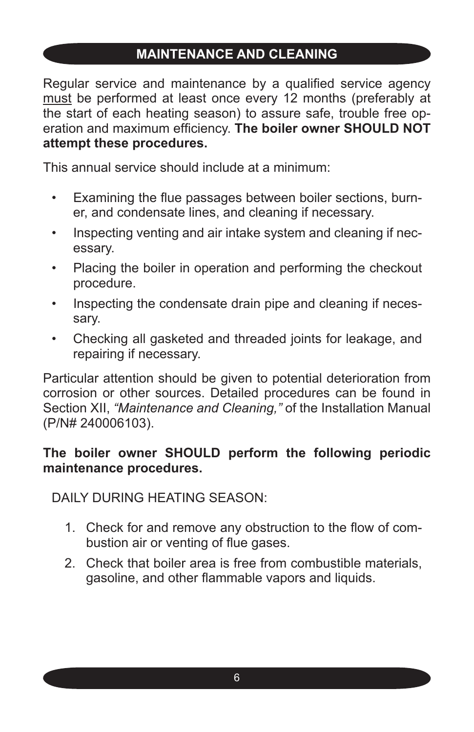#### **MAINTENANCE AND CLEANING**

Regular service and maintenance by a qualified service agency must be performed at least once every 12 months (preferably at the start of each heating season) to assure safe, trouble free operation and maximum efficiency. **The boiler owner SHOULD NOT attempt these procedures.**

This annual service should include at a minimum:

- Examining the flue passages between boiler sections, burner, and condensate lines, and cleaning if necessary. •
- Inspecting venting and air intake system and cleaning if necessary. •
- Placing the boiler in operation and performing the checkout procedure. •
- Inspecting the condensate drain pipe and cleaning if necessary. •
- Checking all gasketed and threaded joints for leakage, and repairing if necessary.

Particular attention should be given to potential deterioration from corrosion or other sources. Detailed procedures can be found in Section XII, *"Maintenance and Cleaning,"* of the Installation Manual (P/N# 240006103).

#### **The boiler owner SHOULD perform the following periodic maintenance procedures.**

DAILY DURING HEATING SEASON:

- Check for and remove any obstruction to the flow of com-1. bustion air or venting of flue gases.
- Check that boiler area is free from combustible materials, gasoline, and other flammable vapors and liquids. 2.